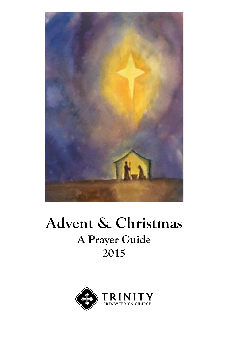

# **Advent & Christmas A Prayer Guide 2015**

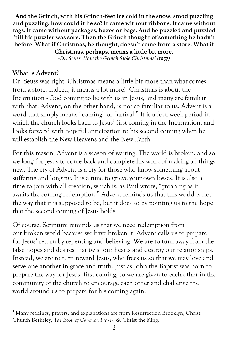**And the Grinch, with his Grinch-feet ice cold in the snow, stood puzzling and puzzling, how could it be so? It came without ribbons. It came without tags. It came without packages, boxes or bags. And he puzzled and puzzled 'till his puzzler was sore. Then the Grinch thought of something he hadn't before. What if Christmas, he thought, doesn't come from a store. What if Christmas, perhaps, means a little bit more.** 

*-Dr. Seuss, How the Grinch Stole Christmas! (1957)*

# What is Advent?<sup>1</sup>

 $\overline{a}$ 

Dr. Seuss was right. Christmas means a little bit more than what comes from a store. Indeed, it means a lot more! Christmas is about the Incarnation - God coming to be with us in Jesus, and many are familiar with that. Advent, on the other hand, is not so familiar to us. Advent is a word that simply means "coming" or "arrival." It is a four-week period in which the church looks back to Jesus' first coming in the Incarnation, and looks forward with hopeful anticipation to his second coming when he will establish the New Heavens and the New Earth.

For this reason, Advent is a season of waiting. The world is broken, and so we long for Jesus to come back and complete his work of making all things new. The cry of Advent is a cry for those who know something about suffering and longing. It is a time to grieve your own losses. It is also a time to join with all creation, which is, as Paul wrote, "groaning as it awaits the coming redemption." Advent reminds us that this world is not the way that it is supposed to be, but it does so by pointing us to the hope that the second coming of Jesus holds.

Of course, Scripture reminds us that we need redemption from our broken world because we have broken it! Advent calls us to prepare for Jesus' return by repenting and believing. We are to turn away from the false hopes and desires that twist our hearts and destroy our relationships. Instead, we are to turn toward Jesus, who frees us so that we may love and serve one another in grace and truth. Just as John the Baptist was born to prepare the way for Jesus' first coming, so we are given to each other in the community of the church to encourage each other and challenge the world around us to prepare for his coming again.

<sup>&</sup>lt;sup>1</sup> Many readings, prayers, and explanations are from Resurrection Brooklyn, Christ Church Berkeley, *The Book of Common Prayer*, & Christ the King.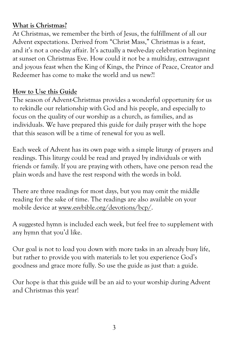# **What is Christmas?**

At Christmas, we remember the birth of Jesus, the fulfillment of all our Advent expectations. Derived from "Christ Mass," Christmas is a feast, and it's not a one-day affair. It's actually a twelve-day celebration beginning at sunset on Christmas Eve. How could it not be a multiday, extravagant and joyous feast when the King of Kings, the Prince of Peace, Creator and Redeemer has come to make the world and us new?!

# **How to Use this Guide**

The season of Advent-Christmas provides a wonderful opportunity for us to rekindle our relationship with God and his people, and especially to focus on the quality of our worship as a church, as families, and as individuals. We have prepared this guide for daily prayer with the hope that this season will be a time of renewal for you as well.

Each week of Advent has its own page with a simple liturgy of prayers and readings. This liturgy could be read and prayed by individuals or with friends or family. If you are praying with others, have one person read the plain words and have the rest respond with the words in bold.

There are three readings for most days, but you may omit the middle reading for the sake of time. The readings are also available on your mobile device at www.esvbible.org/devotions/bcp/.

A suggested hymn is included each week, but feel free to supplement with any hymn that you'd like.

Our goal is not to load you down with more tasks in an already busy life, but rather to provide you with materials to let you experience God's goodness and grace more fully. So use the guide as just that: a guide.

Our hope is that this guide will be an aid to your worship during Advent and Christmas this year!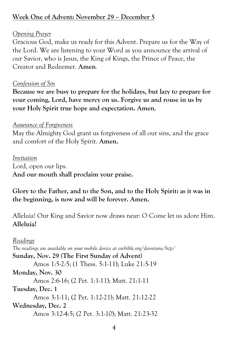# **Week One of Advent: November 29 – December 5**

## *Opening Prayer*

Gracious God, make us ready for this Advent. Prepare us for the Way of the Lord. We are listening to your Word as you announce the arrival of our Savior, who is Jesus, the King of Kings, the Prince of Peace, the Creator and Redeemer. **Amen***.*

#### *Confession of Sin*

**Because we are busy to prepare for the holidays, but lazy to prepare for your coming, Lord, have mercy on us. Forgive us and rouse in us by your Holy Spirit true hope and expectation. Amen***.*

#### *Assurance of Forgiveness*

May the Almighty God grant us forgiveness of all our sins, and the grace and comfort of the Holy Spirit. **Amen.**

*Invitation* Lord, open our lips. **And our mouth shall proclaim your praise.** 

**Glory to the Father, and to the Son, and to the Holy Spirit: as it was in the beginning, is now and will be forever. Amen.**

Alleluia! Our King and Savior now draws near: O Come let us adore Him. **Alleluia!**

## *Readings*

*The readings are available on your mobile device at esvbible.org/devotions/bcp/* **Sunday, Nov. 29 (The First Sunday of Advent)** Amos 1:5-2:5; (1 Thess. 5:1-11); Luke 21:5-19 **Monday, Nov. 30** Amos 2:6-16; (2 Pet. 1:1-11); Matt. 21:1-11 **Tuesday, Dec. 1** Amos 3:1-11; (2 Pet. 1:12-21); Matt. 21:12-22 **Wednesday, Dec. 2** Amos 3:12-4:5; (2 Pet. 3:1-10); Matt. 21:23-32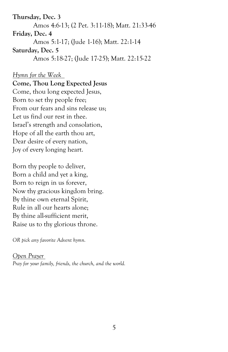**Thursday, Dec. 3** Amos 4:6-13; (2 Pet. 3:11-18); Matt. 21:33-46 **Friday, Dec. 4** Amos 5:1-17; (Jude 1-16); Matt. 22:1-14 **Saturday, Dec. 5** Amos 5:18-27; (Jude 17-25); Matt. 22:15-22

*Hymn for the Week*

**Come, Thou Long Expected Jesus** Come, thou long expected Jesus, Born to set thy people free; From our fears and sins release us; Let us find our rest in thee. Israel's strength and consolation, Hope of all the earth thou art, Dear desire of every nation, Joy of every longing heart.

Born thy people to deliver, Born a child and yet a king, Born to reign in us forever, Now thy gracious kingdom bring. By thine own eternal Spirit, Rule in all our hearts alone; By thine all-sufficient merit, Raise us to thy glorious throne.

*OR pick any favorite Advent hymn.*

*Open Prayer Pray for your family, friends, the church, and the world.*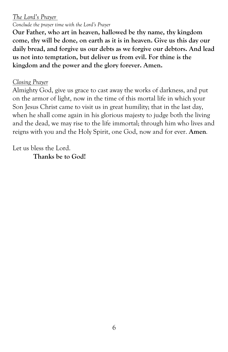#### *The Lord's Prayer*

*Conclude the prayer time with the Lord's Prayer*

**Our Father, who art in heaven, hallowed be thy name, thy kingdom come, thy will be done, on earth as it is in heaven. Give us this day our daily bread, and forgive us our debts as we forgive our debtors. And lead us not into temptation, but deliver us from evil. For thine is the kingdom and the power and the glory forever. Amen.**

#### *Closing Prayer*

Almighty God, give us grace to cast away the works of darkness, and put on the armor of light, now in the time of this mortal life in which your Son Jesus Christ came to visit us in great humility; that in the last day, when he shall come again in his glorious majesty to judge both the living and the dead, we may rise to the life immortal; through him who lives and reigns with you and the Holy Spirit, one God, now and for ever. **Amen***.* 

Let us bless the Lord. **Thanks be to God!**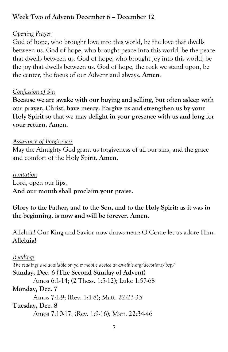# **Week Two of Advent: December 6 – December 12**

# *Opening Prayer*

God of hope, who brought love into this world, be the love that dwells between us. God of hope, who brought peace into this world, be the peace that dwells between us. God of hope, who brought joy into this world, be the joy that dwells between us. God of hope, the rock we stand upon, be the center, the focus of our Advent and always. **Amen***.*

## *Confession of Sin*

**Because we are awake with our buying and selling, but often asleep with our prayer, Christ, have mercy. Forgive us and strengthen us by your Holy Spirit so that we may delight in your presence with us and long for your return. Amen.**

#### *Assurance of Forgiveness*

May the Almighty God grant us forgiveness of all our sins, and the grace and comfort of the Holy Spirit. **Amen.**

*Invitation*

Lord, open our lips.

**And our mouth shall proclaim your praise.** 

# **Glory to the Father, and to the Son, and to the Holy Spirit: as it was in the beginning, is now and will be forever. Amen.**

Alleluia! Our King and Savior now draws near: O Come let us adore Him. **Alleluia!**

7 *Readings The readings are available on your mobile device at esvbible.org/devotions/bcp/* **Sunday, Dec. 6 (The Second Sunday of Advent)** Amos 6:1-14; (2 Thess. 1:5-12); Luke 1:57-68 **Monday, Dec. 7** Amos 7:1-9; (Rev. 1:1-8); Matt. 22:23-33 **Tuesday, Dec. 8** Amos 7:10-17; (Rev. 1:9-16); Matt. 22:34-46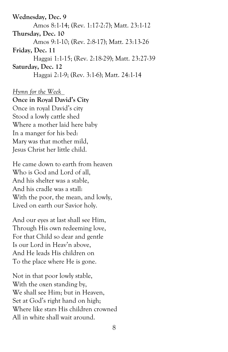**Wednesday, Dec. 9** Amos 8:1-14; (Rev. 1:17-2:7); Matt. 23:1-12 **Thursday, Dec. 10** Amos 9:1-10; (Rev. 2:8-17); Matt. 23:13-26 **Friday, Dec. 11** Haggai 1:1-15; (Rev. 2:18-29); Matt. 23:27-39 **Saturday, Dec. 12** Haggai 2:1-9; (Rev. 3:1-6); Matt. 24:1-14

#### *Hymn for the Week*

#### **Once in Royal David's City**

Once in royal David's city Stood a lowly cattle shed Where a mother laid here baby In a manger for his bed: Mary was that mother mild, Jesus Christ her little child.

He came down to earth from heaven Who is God and Lord of all, And his shelter was a stable, And his cradle was a stall: With the poor, the mean, and lowly, Lived on earth our Savior holy.

And our eyes at last shall see Him, Through His own redeeming love, For that Child so dear and gentle Is our Lord in Heav'n above, And He leads His children on To the place where He is gone.

Not in that poor lowly stable, With the oxen standing by, We shall see Him; but in Heaven, Set at God's right hand on high; Where like stars His children crowned All in white shall wait around.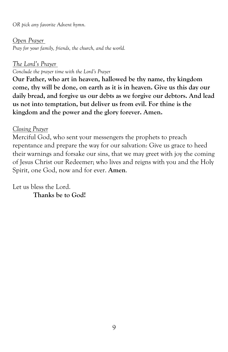*OR pick any favorite Advent hymn.*

#### *Open Prayer*

*Pray for your family, friends, the church, and the world.*

## *The Lord's Prayer*

*Conclude the prayer time with the Lord's Prayer*

**Our Father, who art in heaven, hallowed be thy name, thy kingdom come, thy will be done, on earth as it is in heaven. Give us this day our daily bread, and forgive us our debts as we forgive our debtors. And lead us not into temptation, but deliver us from evil. For thine is the kingdom and the power and the glory forever. Amen.**

# *Closing Prayer*

Merciful God, who sent your messengers the prophets to preach repentance and prepare the way for our salvation: Give us grace to heed their warnings and forsake our sins, that we may greet with joy the coming of Jesus Christ our Redeemer; who lives and reigns with you and the Holy Spirit, one God, now and for ever. **Amen**.

Let us bless the Lord. **Thanks be to God!**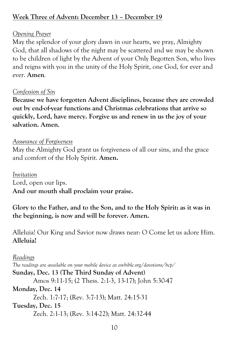# **Week Three of Advent: December 13 – December 19**

## *Opening Prayer*

May the splendor of your glory dawn in our hearts, we pray, Almighty God, that all shadows of the night may be scattered and we may be shown to be children of light by the Advent of your Only Begotten Son, who lives and reigns with you in the unity of the Holy Spirit, one God, for ever and ever. **Amen***.*

#### *Confession of Sin*

**Because we have forgotten Advent disciplines, because they are crowded out by end-of-year functions and Christmas celebrations that arrive so quickly, Lord, have mercy. Forgive us and renew in us the joy of your salvation. Amen***.*

#### *Assurance of Forgiveness*

May the Almighty God grant us forgiveness of all our sins, and the grace and comfort of the Holy Spirit. **Amen.**

*Invitation*

Lord, open our lips.

**And our mouth shall proclaim your praise.** 

# **Glory to the Father, and to the Son, and to the Holy Spirit: as it was in the beginning, is now and will be forever. Amen.**

Alleluia! Our King and Savior now draws near: O Come let us adore Him. **Alleluia!**

*Readings*

*The readings are available on your mobile device at esvbible.org/devotions/bcp/* 

**Sunday, Dec. 13 (The Third Sunday of Advent)**

Amos 9:11-15; (2 Thess. 2:1-3, 13-17); John 5:30-47

## **Monday, Dec. 14**

Zech. 1:7-17; (Rev. 3:7-13); Matt. 24:15-31

**Tuesday, Dec. 15**

Zech. 2:1-13; (Rev. 3:14-22); Matt. 24:32-44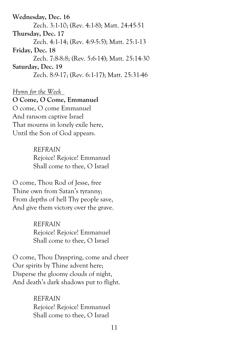**Wednesday, Dec. 16** Zech. 3:1-10; (Rev. 4:1-8); Matt. 24:45-51 **Thursday, Dec. 17** Zech. 4:1-14; (Rev. 4:9-5:5); Matt. 25:1-13 **Friday, Dec. 18** Zech. 7:8-8:8; (Rev. 5:6-14); Matt. 25:14-30 **Saturday, Dec. 19** Zech. 8:9-17; (Rev. 6:1-17); Matt. 25:31-46

*Hymn for the Week* 

# **O Come, O Come, Emmanuel**

O come, O come Emmanuel And ransom captive Israel That mourns in lonely exile here, Until the Son of God appears.

> *REFRAIN*  Rejoice! Rejoice! Emmanuel Shall come to thee, O Israel

O come, Thou Rod of Jesse, free Thine own from Satan's tyranny; From depths of hell Thy people save, And give them victory over the grave.

> *REFRAIN*  Rejoice! Rejoice! Emmanuel Shall come to thee, O Israel

O come, Thou Dayspring, come and cheer Our spirits by Thine advent here; Disperse the gloomy clouds of night, And death's dark shadows put to flight.

> *REFRAIN*  Rejoice! Rejoice! Emmanuel Shall come to thee, O Israel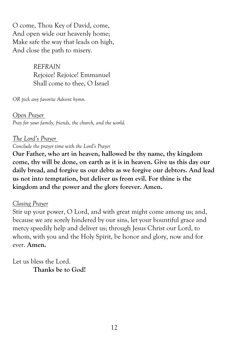O come, Thou Key of David, come, And open wide our heavenly home; Make safe the way that leads on high, And close the path to misery.

> *REFRAIN*  Rejoice! Rejoice! Emmanuel Shall come to thee, O Israel

*OR pick any favorite Advent hymn.*

*Open Prayer Pray for your family, friends, the church, and the world.*

## *The Lord's Prayer*

*Conclude the prayer time with the Lord's Prayer*

**Our Father, who art in heaven, hallowed be thy name, thy kingdom come, thy will be done, on earth as it is in heaven. Give us this day our daily bread, and forgive us our debts as we forgive our debtors. And lead us not into temptation, but deliver us from evil. For thine is the kingdom and the power and the glory forever. Amen.**

## *Closing Prayer*

Stir up your power, O Lord, and with great might come among us; and, because we are sorely hindered by our sins, let your bountiful grace and mercy speedily help and deliver us; through Jesus Christ our Lord, to whom, with you and the Holy Spirit, be honor and glory, now and for ever. **Amen.**

Let us bless the Lord. **Thanks be to God!**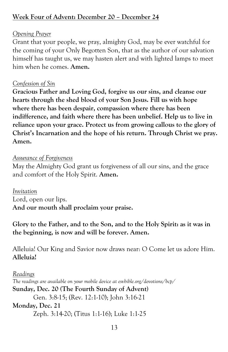# **Week Four of Advent: December 20 – December 24**

# *Opening Prayer*

Grant that your people, we pray, almighty God, may be ever watchful for the coming of your Only Begotten Son, that as the author of our salvation himself has taught us, we may hasten alert and with lighted lamps to meet him when he comes. **Amen.**

#### *Confession of Sin*

**Gracious Father and Loving God, forgive us our sins, and cleanse our hearts through the shed blood of your Son Jesus. Fill us with hope where there has been despair, compassion where there has been indifference, and faith where there has been unbelief. Help us to live in reliance upon your grace. Protect us from growing callous to the glory of Christ's Incarnation and the hope of his return. Through Christ we pray. Amen.**

#### *Assurance of Forgiveness*

May the Almighty God grant us forgiveness of all our sins, and the grace and comfort of the Holy Spirit. **Amen.**

*Invitation* Lord, open our lips. **And our mouth shall proclaim your praise.** 

**Glory to the Father, and to the Son, and to the Holy Spirit: as it was in the beginning, is now and will be forever. Amen.**

Alleluia! Our King and Savior now draws near: O Come let us adore Him. **Alleluia!**

#### *Readings*

*The readings are available on your mobile device at esvbible.org/devotions/bcp/*  **Sunday, Dec. 20 (The Fourth Sunday of Advent)** Gen. 3:8-15; (Rev. 12:1-10); John 3:16-21 **Monday, Dec. 21** Zeph. 3:14-20; (Titus 1:1-16); Luke 1:1-25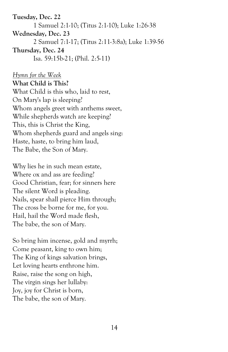**Tuesday, Dec. 22** 1 Samuel 2:1-10; (Titus 2:1-10); Luke 1:26-38 **Wednesday, Dec. 23** 2 Samuel 7:1-17; (Titus 2:11-3:8a); Luke 1:39-56 **Thursday, Dec. 24** Isa. 59:15b-21; (Phil. 2:5-11)

*Hymn for the Week* **What Child is This?** What Child is this who, laid to rest, On Mary's lap is sleeping? Whom angels greet with anthems sweet, While shepherds watch are keeping? This, this is Christ the King, Whom shepherds guard and angels sing: Haste, haste, to bring him laud, The Babe, the Son of Mary.

Why lies he in such mean estate, Where ox and ass are feeding? Good Christian, fear; for sinners here The silent Word is pleading. Nails, spear shall pierce Him through; The cross be borne for me, for you. Hail, hail the Word made flesh, The babe, the son of Mary.

So bring him incense, gold and myrrh; Come peasant, king to own him; The King of kings salvation brings, Let loving hearts enthrone him. Raise, raise the song on high, The virgin sings her lullaby: Joy, joy for Christ is born, The babe, the son of Mary.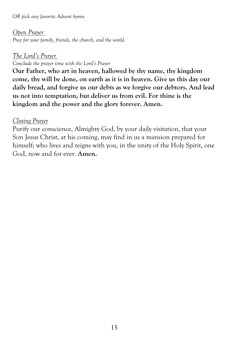*OR pick any favorite Advent hymn.*

#### *Open Prayer*

*Pray for your family, friends, the church, and the world.*

#### *The Lord's Prayer*

*Conclude the prayer time with the Lord's Prayer*

**Our Father, who art in heaven, hallowed be thy name, thy kingdom come, thy will be done, on earth as it is in heaven. Give us this day our daily bread, and forgive us our debts as we forgive our debtors. And lead us not into temptation, but deliver us from evil. For thine is the kingdom and the power and the glory forever. Amen.**

#### *Closing Prayer*

Purify our conscience, Almighty God, by your daily visitation, that your Son Jesus Christ, at his coming, may find in us a mansion prepared for himself; who lives and reigns with you, in the unity of the Holy Spirit, one God, now and for ever. **Amen.**